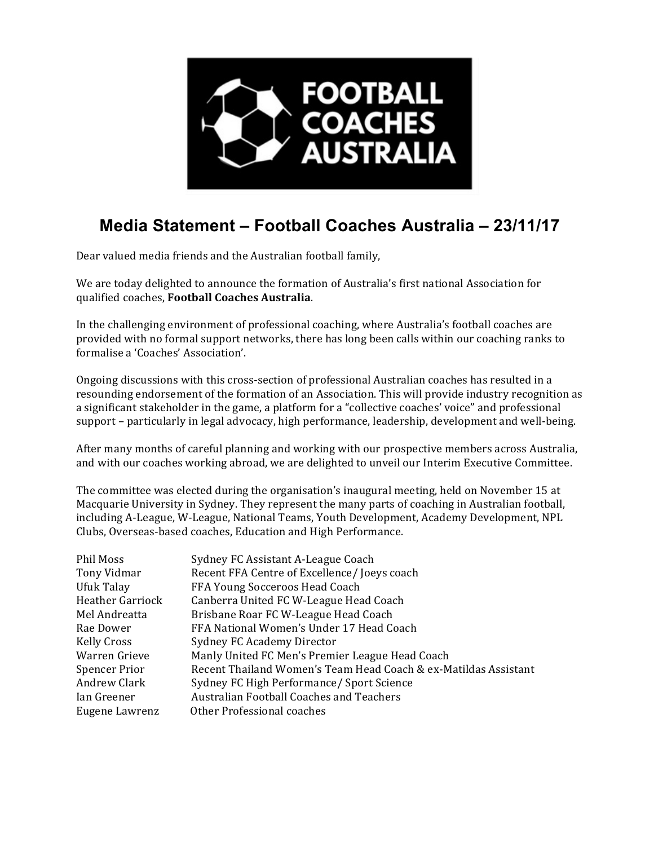

## **Media Statement – Football Coaches Australia – 23/11/17**

Dear valued media friends and the Australian football family,

We are today delighted to announce the formation of Australia's first national Association for qualified coaches, **Football Coaches Australia**.

In the challenging environment of professional coaching, where Australia's football coaches are provided with no formal support networks, there has long been calls within our coaching ranks to formalise a 'Coaches' Association'.

Ongoing discussions with this cross-section of professional Australian coaches has resulted in a resounding endorsement of the formation of an Association. This will provide industry recognition as a significant stakeholder in the game, a platform for a "collective coaches' voice" and professional support - particularly in legal advocacy, high performance, leadership, development and well-being.

After many months of careful planning and working with our prospective members across Australia, and with our coaches working abroad, we are delighted to unveil our Interim Executive Committee.

The committee was elected during the organisation's inaugural meeting, held on November 15 at Macquarie University in Sydney. They represent the many parts of coaching in Australian football, including A-League, W-League, National Teams, Youth Development, Academy Development, NPL Clubs, Overseas-based coaches, Education and High Performance.

| Phil Moss               | Sydney FC Assistant A-League Coach                              |
|-------------------------|-----------------------------------------------------------------|
| Tony Vidmar             | Recent FFA Centre of Excellence/Joeys coach                     |
| Ufuk Talay              | FFA Young Socceroos Head Coach                                  |
| <b>Heather Garriock</b> | Canberra United FC W-League Head Coach                          |
| Mel Andreatta           | Brisbane Roar FC W-League Head Coach                            |
| Rae Dower               | FFA National Women's Under 17 Head Coach                        |
| Kelly Cross             | Sydney FC Academy Director                                      |
| Warren Grieve           | Manly United FC Men's Premier League Head Coach                 |
| <b>Spencer Prior</b>    | Recent Thailand Women's Team Head Coach & ex-Matildas Assistant |
| Andrew Clark            | Sydney FC High Performance/ Sport Science                       |
| Ian Greener             | <b>Australian Football Coaches and Teachers</b>                 |
| Eugene Lawrenz          | Other Professional coaches                                      |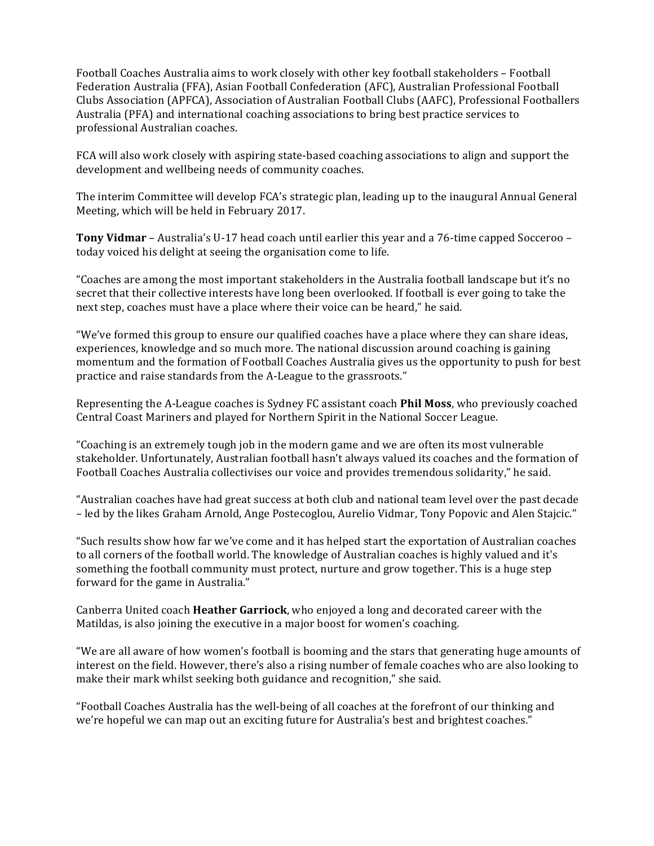Football Coaches Australia aims to work closely with other key football stakeholders - Football Federation Australia (FFA), Asian Football Confederation (AFC), Australian Professional Football Clubs Association (APFCA), Association of Australian Football Clubs (AAFC), Professional Footballers Australia (PFA) and international coaching associations to bring best practice services to professional Australian coaches.

FCA will also work closely with aspiring state-based coaching associations to align and support the development and wellbeing needs of community coaches.

The interim Committee will develop FCA's strategic plan, leading up to the inaugural Annual General Meeting, which will be held in February 2017.

**Tony Vidmar** – Australia's U-17 head coach until earlier this year and a 76-time capped Socceroo – today voiced his delight at seeing the organisation come to life.

"Coaches are among the most important stakeholders in the Australia football landscape but it's no secret that their collective interests have long been overlooked. If football is ever going to take the next step, coaches must have a place where their voice can be heard," he said.

"We've formed this group to ensure our qualified coaches have a place where they can share ideas, experiences, knowledge and so much more. The national discussion around coaching is gaining momentum and the formation of Football Coaches Australia gives us the opportunity to push for best practice and raise standards from the A-League to the grassroots."

Representing the A-League coaches is Sydney FC assistant coach **Phil Moss**, who previously coached Central Coast Mariners and played for Northern Spirit in the National Soccer League.

"Coaching is an extremely tough job in the modern game and we are often its most vulnerable stakeholder. Unfortunately, Australian football hasn't always valued its coaches and the formation of Football Coaches Australia collectivises our voice and provides tremendous solidarity," he said.

"Australian coaches have had great success at both club and national team level over the past decade – led by the likes Graham Arnold, Ange Postecoglou, Aurelio Vidmar, Tony Popovic and Alen Stajcic."

"Such results show how far we've come and it has helped start the exportation of Australian coaches to all corners of the football world. The knowledge of Australian coaches is highly valued and it's something the football community must protect, nurture and grow together. This is a huge step forward for the game in Australia."

Canberra United coach **Heather Garriock**, who enjoyed a long and decorated career with the Matildas, is also joining the executive in a major boost for women's coaching.

"We are all aware of how women's football is booming and the stars that generating huge amounts of interest on the field. However, there's also a rising number of female coaches who are also looking to make their mark whilst seeking both guidance and recognition," she said.

"Football Coaches Australia has the well-being of all coaches at the forefront of our thinking and we're hopeful we can map out an exciting future for Australia's best and brightest coaches."